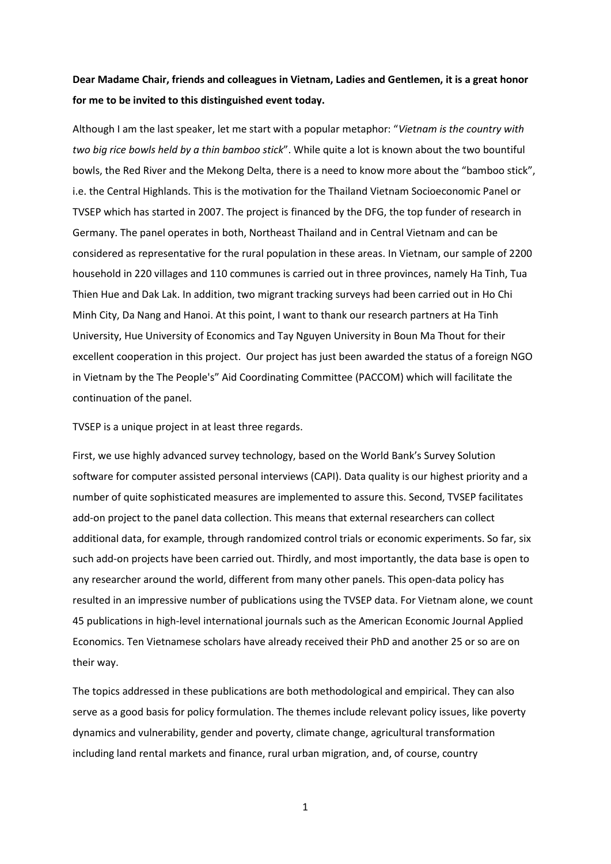## **Dear Madame Chair, friends and colleagues in Vietnam, Ladies and Gentlemen, it is a great honor for me to be invited to this distinguished event today.**

Although I am the last speaker, let me start with a popular metaphor: "*Vietnam is the country with two big rice bowls held by a thin bamboo stick*". While quite a lot is known about the two bountiful bowls, the Red River and the Mekong Delta, there is a need to know more about the "bamboo stick", i.e. the Central Highlands. This is the motivation for the Thailand Vietnam Socioeconomic Panel or TVSEP which has started in 2007. The project is financed by the DFG, the top funder of research in Germany. The panel operates in both, Northeast Thailand and in Central Vietnam and can be considered as representative for the rural population in these areas. In Vietnam, our sample of 2200 household in 220 villages and 110 communes is carried out in three provinces, namely Ha Tinh, Tua Thien Hue and Dak Lak. In addition, two migrant tracking surveys had been carried out in Ho Chi Minh City, Da Nang and Hanoi. At this point, I want to thank our research partners at Ha Tinh University, Hue University of Economics and Tay Nguyen University in Boun Ma Thout for their excellent cooperation in this project. Our project has just been awarded the status of a foreign NGO in Vietnam by the The People's" Aid Coordinating Committee (PACCOM) which will facilitate the continuation of the panel.

TVSEP is a unique project in at least three regards.

First, we use highly advanced survey technology, based on the World Bank's Survey Solution software for computer assisted personal interviews (CAPI). Data quality is our highest priority and a number of quite sophisticated measures are implemented to assure this. Second, TVSEP facilitates add-on project to the panel data collection. This means that external researchers can collect additional data, for example, through randomized control trials or economic experiments. So far, six such add-on projects have been carried out. Thirdly, and most importantly, the data base is open to any researcher around the world, different from many other panels. This open-data policy has resulted in an impressive number of publications using the TVSEP data. For Vietnam alone, we count 45 publications in high-level international journals such as the American Economic Journal Applied Economics. Ten Vietnamese scholars have already received their PhD and another 25 or so are on their way.

The topics addressed in these publications are both methodological and empirical. They can also serve as a good basis for policy formulation. The themes include relevant policy issues, like poverty dynamics and vulnerability, gender and poverty, climate change, agricultural transformation including land rental markets and finance, rural urban migration, and, of course, country

1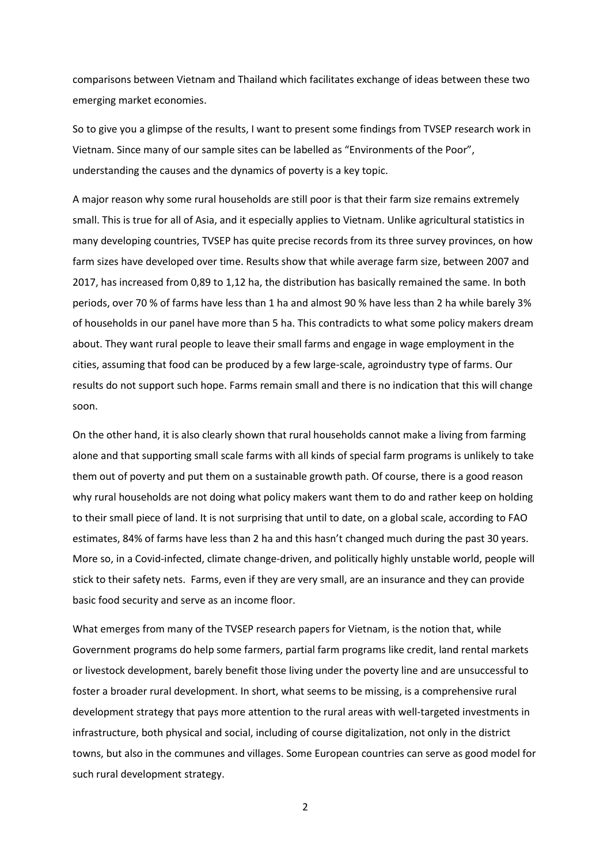comparisons between Vietnam and Thailand which facilitates exchange of ideas between these two emerging market economies.

So to give you a glimpse of the results, I want to present some findings from TVSEP research work in Vietnam. Since many of our sample sites can be labelled as "Environments of the Poor", understanding the causes and the dynamics of poverty is a key topic.

A major reason why some rural households are still poor is that their farm size remains extremely small. This is true for all of Asia, and it especially applies to Vietnam. Unlike agricultural statistics in many developing countries, TVSEP has quite precise records from its three survey provinces, on how farm sizes have developed over time. Results show that while average farm size, between 2007 and 2017, has increased from 0,89 to 1,12 ha, the distribution has basically remained the same. In both periods, over 70 % of farms have less than 1 ha and almost 90 % have less than 2 ha while barely 3% of households in our panel have more than 5 ha. This contradicts to what some policy makers dream about. They want rural people to leave their small farms and engage in wage employment in the cities, assuming that food can be produced by a few large-scale, agroindustry type of farms. Our results do not support such hope. Farms remain small and there is no indication that this will change soon.

On the other hand, it is also clearly shown that rural households cannot make a living from farming alone and that supporting small scale farms with all kinds of special farm programs is unlikely to take them out of poverty and put them on a sustainable growth path. Of course, there is a good reason why rural households are not doing what policy makers want them to do and rather keep on holding to their small piece of land. It is not surprising that until to date, on a global scale, according to FAO estimates, 84% of farms have less than 2 ha and this hasn't changed much during the past 30 years. More so, in a Covid-infected, climate change-driven, and politically highly unstable world, people will stick to their safety nets. Farms, even if they are very small, are an insurance and they can provide basic food security and serve as an income floor.

What emerges from many of the TVSEP research papers for Vietnam, is the notion that, while Government programs do help some farmers, partial farm programs like credit, land rental markets or livestock development, barely benefit those living under the poverty line and are unsuccessful to foster a broader rural development. In short, what seems to be missing, is a comprehensive rural development strategy that pays more attention to the rural areas with well-targeted investments in infrastructure, both physical and social, including of course digitalization, not only in the district towns, but also in the communes and villages. Some European countries can serve as good model for such rural development strategy.

2